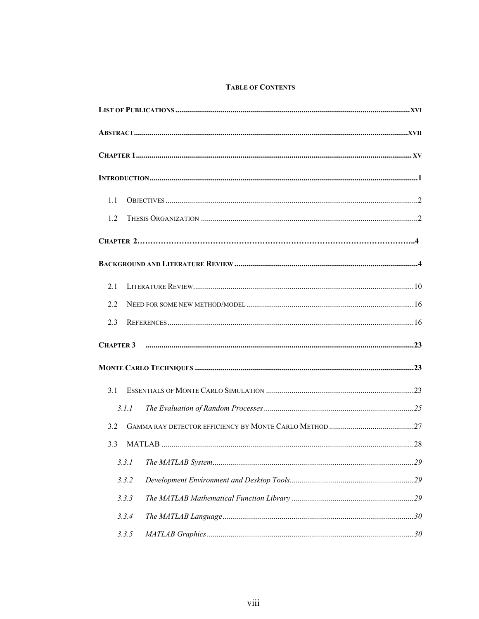## **TABLE OF CONTENTS**

| 1.1 |       |  |  |  |  |
|-----|-------|--|--|--|--|
| 1.2 |       |  |  |  |  |
|     |       |  |  |  |  |
|     |       |  |  |  |  |
| 2.1 |       |  |  |  |  |
| 2.2 |       |  |  |  |  |
| 2.3 |       |  |  |  |  |
|     |       |  |  |  |  |
|     |       |  |  |  |  |
| 3.1 |       |  |  |  |  |
|     | 3.1.1 |  |  |  |  |
| 3.2 |       |  |  |  |  |
| 3.3 |       |  |  |  |  |
|     | 3.3.1 |  |  |  |  |
|     | 3.3.2 |  |  |  |  |
|     | 3.3.3 |  |  |  |  |
|     | 3.3.4 |  |  |  |  |
|     | 3.3.5 |  |  |  |  |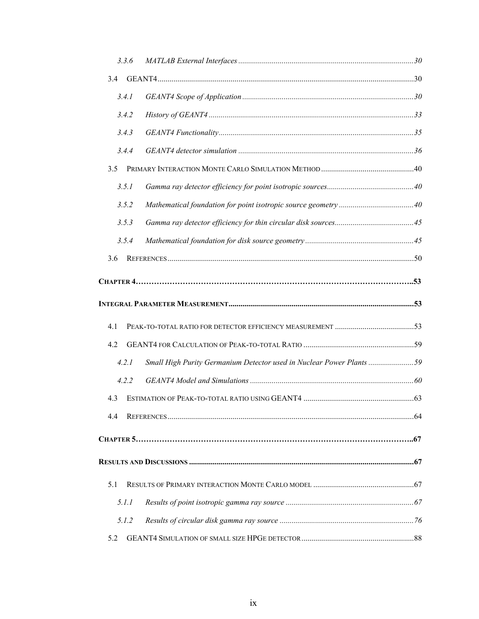| 3.3.6 |                                                                      |  |
|-------|----------------------------------------------------------------------|--|
| 3.4   |                                                                      |  |
| 3.4.1 |                                                                      |  |
| 3.4.2 |                                                                      |  |
| 3.4.3 |                                                                      |  |
| 3.4.4 |                                                                      |  |
| 3.5   |                                                                      |  |
| 3.5.1 |                                                                      |  |
| 3.5.2 |                                                                      |  |
| 3.5.3 |                                                                      |  |
| 3.5.4 |                                                                      |  |
| 3.6   |                                                                      |  |
|       |                                                                      |  |
|       |                                                                      |  |
|       |                                                                      |  |
| 4.1   |                                                                      |  |
| 4.2   |                                                                      |  |
| 4.2.1 | Small High Purity Germanium Detector used in Nuclear Power Plants 59 |  |
| 4.2.2 |                                                                      |  |
| 4.3   |                                                                      |  |
| 4.4   |                                                                      |  |
|       |                                                                      |  |
|       |                                                                      |  |
|       |                                                                      |  |
| 5.1   |                                                                      |  |
| 5.1.1 |                                                                      |  |
| 5.1.2 |                                                                      |  |
| 5.2   |                                                                      |  |